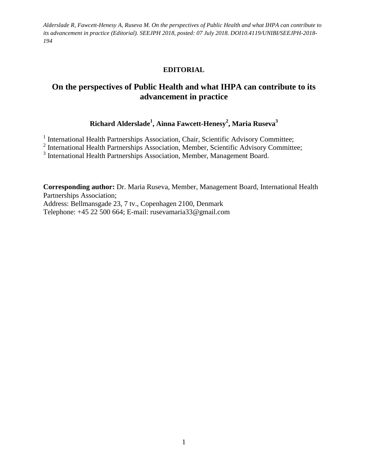## **EDITORIAL**

# **On the perspectives of Public Health and what IHPA can contribute to its advancement in practice**

## **Richard Alderslade<sup>1</sup> , Ainna Fawcett-Henesy<sup>2</sup> , Maria Ruseva<sup>3</sup>**

<sup>1</sup> International Health Partnerships Association, Chair, Scientific Advisory Committee;

<sup>2</sup> International Health Partnerships Association, Member, Scientific Advisory Committee;

<sup>3</sup> International Health Partnerships Association, Member, Management Board.

**Corresponding author:** Dr. Maria Ruseva, Member, Management Board, International Health Partnerships Association; Address: Bellmansgade 23, 7 tv., Copenhagen 2100, Denmark Telephone: +45 22 500 664; E-mail: rusevamaria33@gmail.com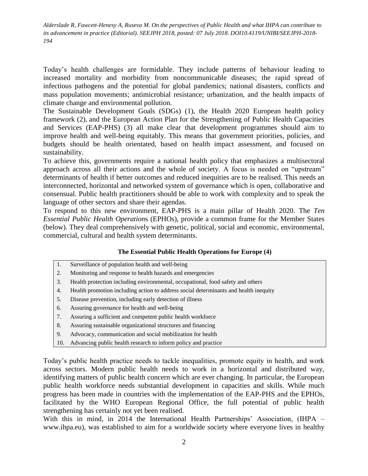Today's health challenges are formidable. They include patterns of behaviour leading to increased mortality and morbidity from noncommunicable diseases; the rapid spread of infectious pathogens and the potential for global pandemics; national disasters, conflicts and mass population movements; antimicrobial resistance; urbanization, and the health impacts of climate change and environmental pollution.

The Sustainable Development Goals (SDGs) (1), the Health 2020 European health policy framework (2), and the European Action Plan for the Strengthening of Public Health Capacities and Services (EAP-PHS) (3) all make clear that development programmes should aim to improve health and well-being equitably. This means that government priorities, policies, and budgets should be health orientated, based on health impact assessment, and focused on sustainability.

To achieve this, governments require a national health policy that emphasizes a multisectoral approach across all their actions and the whole of society. A focus is needed on "upstream" determinants of health if better outcomes and reduced inequities are to be realised. This needs an interconnected, horizontal and networked system of governance which is open, collaborative and consensual. Public health practitioners should be able to work with complexity and to speak the language of other sectors and share their agendas.

To respond to this new environment, EAP-PHS is a main pillar of Health 2020. The *Ten Essential Public Health Operation*s (EPHOs), provide a common frame for the Member States (below). They deal comprehensively with genetic, political, social and economic, environmental, commercial, cultural and health system determinants.

#### **The Essential Public Health Operations for Europe (4)**

- 1. Surveillance of population health and well-being
- 2. Monitoring and response to health hazards and emergencies
- 3. Health protection including environmental, occupational, food safety and others
- 4. Health promotion including action to address social determinants and health inequity
- 5. Disease prevention, including early detection of illness
- 6. Assuring governance for health and well-being
- 7. Assuring a sufficient and competent public health workforce
- 8. Assuring sustainable organizational structures and financing
- 9. Advocacy, communication and social mobilization for health
- 10. Advancing public health research to inform policy and practice

Today's public health practice needs to tackle inequalities, promote equity in health, and work across sectors. Modern public health needs to work in a horizontal and distributed way, identifying matters of public health concern which are ever changing. In particular, the European public health workforce needs substantial development in capacities and skills. While much progress has been made in countries with the implementation of the EAP-PHS and the EPHOs, facilitated by the WHO European Regional Office, the full potential of public health strengthening has certainly not yet been realised.

With this in mind, in 2014 the International Health Partnerships' Association, (IHPA – www.ihpa.eu), was established to aim for a worldwide society where everyone lives in healthy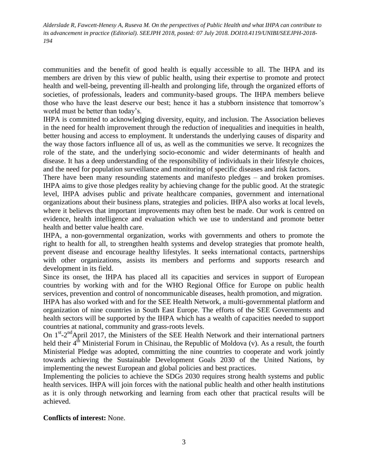communities and the benefit of good health is equally accessible to all. The IHPA and its members are driven by this view of public health, using their expertise to promote and protect health and well-being, preventing ill-health and prolonging life, through the organized efforts of societies, of professionals, leaders and community-based groups. The IHPA members believe those who have the least deserve our best; hence it has a stubborn insistence that tomorrow's world must be better than today's.

IHPA is committed to acknowledging diversity, equity, and inclusion. The Association believes in the need for health improvement through the reduction of inequalities and inequities in health, better housing and access to employment. It understands the underlying causes of disparity and the way those factors influence all of us, as well as the communities we serve. It recognizes the role of the state, and the underlying socio-economic and wider determinants of health and disease. It has a deep understanding of the responsibility of individuals in their lifestyle choices, and the need for population surveillance and monitoring of specific diseases and risk factors.

There have been many resounding statements and manifesto pledges – and broken promises. IHPA aims to give those pledges reality by achieving change for the public good. At the strategic level, IHPA advises public and private healthcare companies, government and international organizations about their business plans, strategies and policies. IHPA also works at local levels, where it believes that important improvements may often best be made. Our work is centred on evidence, health intelligence and evaluation which we use to understand and promote better health and better value health care.

IHPA, a non-governmental organization, works with governments and others to promote the right to health for all, to strengthen health systems and develop strategies that promote health, prevent disease and encourage healthy lifestyles. It seeks international contacts, partnerships with other organizations, assists its members and performs and supports research and development in its field.

Since its onset, the IHPA has placed all its capacities and services in support of European countries by working with and for the WHO Regional Office for Europe on public health services, prevention and control of noncommunicable diseases, health promotion, and migration.

IHPA has also worked with and for the SEE Health Network, a multi-governmental platform and organization of nine countries in South East Europe. The efforts of the SEE Governments and health sectors will be supported by the IHPA which has a wealth of capacities needed to support countries at national, community and grass-roots levels.

On 1<sup>st</sup>-2<sup>nd</sup>April 2017, the Ministers of the SEE Health Network and their international partners held their  $4<sup>th</sup>$  Ministerial Forum in Chisinau, the Republic of Moldova (v). As a result, the fourth Ministerial Pledge was adopted, committing the nine countries to cooperate and work jointly towards achieving the Sustainable Development Goals 2030 of the United Nations, by implementing the newest European and global policies and best practices.

Implementing the policies to achieve the SDGs 2030 requires strong health systems and public health services. IHPA will join forces with the national public health and other health institutions as it is only through networking and learning from each other that practical results will be achieved.

## **Conflicts of interest:** None.